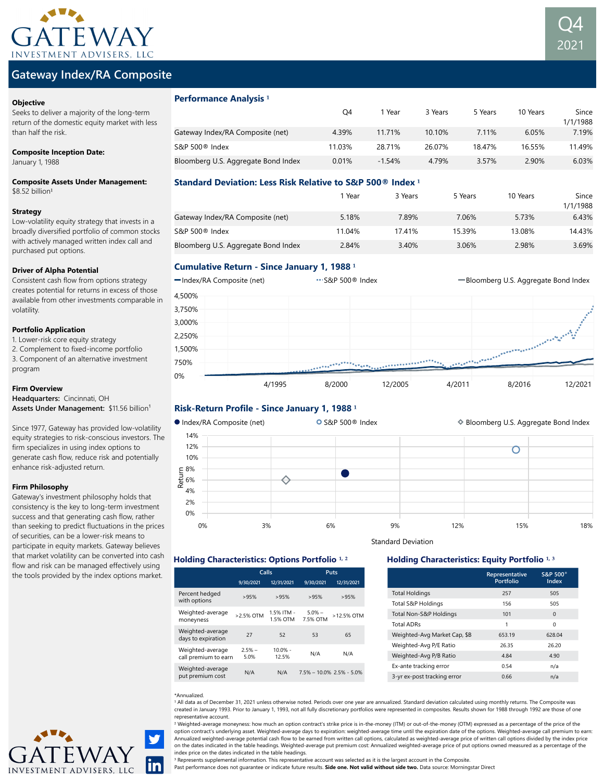

# Gateway Index/RA Composite

### **Objective**

Seeks to deliver a majority of the long-term return of the domestic equity market with less than half the risk.

#### Composite Inception Date:

January 1, 1988

Composite Assets Under Management:  $$8.52$  billion<sup>1</sup>

### Strategy

Low-volatility equity strategy that invests in a broadly diversified portfolio of common stocks with actively managed written index call and purchased put options.

## Driver of Alpha Potential

Consistent cash flow from options strategy creates potential for returns in excess of those available from other investments comparable in volatility.

## Portfolio Application

- 1. Lower-risk core equity strategy
- 2. Complement to fixed-income portfolio 3. Component of an alternative investment program

## Firm Overview

Headquarters: Cincinnati, OH Assets Under Management: \$11.56 billion<sup>1</sup>

Since 1977, Gateway has provided low-volatility equity strategies to risk-conscious investors. The firm specializes in using index options to generate cash flow, reduce risk and potentially enhance risk-adjusted return.

## Firm Philosophy

Gateway's investment philosophy holds that consistency is the key to long-term investment success and that generating cash flow, rather than seeking to predict fluctuations in the prices of securities, can be a lower-risk means to participate in equity markets. Gateway believes that market volatility can be converted into cash flow and risk can be managed effectively using the tools provided by the index options market.



# Performance Analysis<sup>1</sup>

|                                     | O4     | Year     | 3 Years | 5 Years | 10 Years | Since<br>1/1/1988 |
|-------------------------------------|--------|----------|---------|---------|----------|-------------------|
| Gateway Index/RA Composite (net)    | 4.39%  | 11 71%   | 10.10%  | 7.11%   | 6.05%    | 7.19%             |
| S&P 500 <sup>®</sup> Index          | 11.03% | 28.71%   | 26.07%  | 18.47%  | 16.55%   | 11.49%            |
| Bloomberg U.S. Aggregate Bond Index | 0.01%  | $-1.54%$ | 4.79%   | 3.57%   | 2.90%    | 6.03%             |

Q4

2021

# Standard Deviation: Less Risk Relative to S&P 500® Index **¹**

|                                     | l Year | 3 Years | 5 Years | 10 Years | Since<br>1/1/1988 |
|-------------------------------------|--------|---------|---------|----------|-------------------|
| Gateway Index/RA Composite (net)    | 5.18%  | 7.89%   | 7.06%   | 5.73%    | 6.43%             |
| S&P 500 <sup>®</sup> Index          | 11.04% | 17.41%  | 15.39%  | 13.08%   | 14.43%            |
| Bloomberg U.S. Aggregate Bond Index | 2.84%  | 3.40%   | 3.06%   | 2.98%    | 3.69%             |

# Cumulative Return - Since January 1, 1988 **¹**



# Risk-Return Profile - Since January 1, 1988<sup>1</sup>



Standard Deviation

**Representative Portfolio**

Total Holdings 257 505 Total S&P Holdings 156 505 Total Non-S&P Holdings 101 0 Total ADRs 1 0 Weighted-Avg Market Cap, \$B 653.19 628.04 Weighted-Avg P/E Ratio 26.35 26.20 Weighted-Avg P/B Ratio 4.84 4.90 Ex-ante tracking error 0.54 n/a 3-yr ex-post tracking error 0.66 h/a

**S&P 500® Index**

# Holding Characteristics: Options Portfolio <sup>1, 2</sup> **Holding Characteristics: Equity Portfolio** <sup>1, 3</sup>

|                                          | Calls            |                        | Puts                 |                              |  |
|------------------------------------------|------------------|------------------------|----------------------|------------------------------|--|
|                                          | 9/30/2021        | 12/31/2021             | 9/30/2021            | 12/31/2021                   |  |
| Percent hedged<br>with options           | >95%             | >95%                   | >95%                 | >95%                         |  |
| Weighted-average<br>moneyness            | >2.5% OTM        | 1.5% ITM -<br>1.5% OTM | $5.0%$ -<br>7.5% OTM | >12.5% OTM                   |  |
| Weighted-average<br>days to expiration   | 27               | 52                     | 53                   | 65                           |  |
| Weighted-average<br>call premium to earn | $2.5%$ -<br>5.0% | $10.0% -$<br>12.5%     | N/A                  | N/A                          |  |
| Weighted-average<br>put premium cost     | N/A              | N/A                    |                      | $7.5\% - 10.0\%$ 2.5% - 5.0% |  |

#### \*Annualized.

<sup>1</sup> All data as of December 31, 2021 unless otherwise noted. Periods over one year are annualized. Standard deviation calculated using monthly returns. The Composite was created in January 1993. Prior to January 1, 1993, not all fully discretionary portfolios were represented in composites. Results shown for 1988 through 1992 are those of one representative account.

<sup>2</sup> Weighted-average moneyness: how much an option contract's strike price is in-the-money (ITM) or out-of-the-money (OTM) expressed as a percentage of the price of the option contract's underlying asset. Weighted-average days to expiration: weighted-average time until the expiration date of the options. Weighted-average call premium to earn: Annualized weighted-average potential cash flow to be earned from written call options, calculated as weighted-average price of written call options divided by the index price on the dates indicated in the table headings. Weighted-average put premium cost: Annualized weighted-average price of put options owned measured as a percentage of the index price on the dates indicated in the table headings.

<sup>3</sup> Represents supplemental information. This representative account was selected as it is the largest account in the Composite.

Past performance does not guarantee or indicate future results. Side one. Not valid without side two. Data source: Morningstar Direct